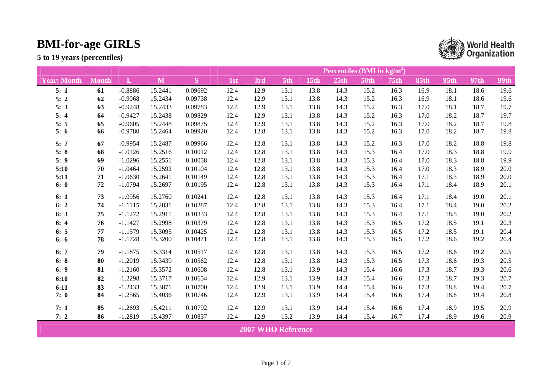

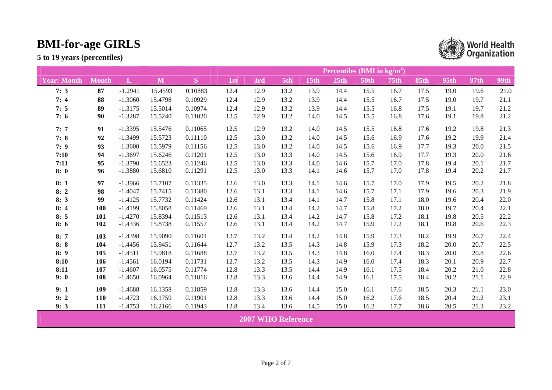|                    |              |              |         |         | <b>Percentiles (BMI in kg/m<sup>2</sup>)</b> |                           |      |             |      |             |             |             |      |      |      |  |
|--------------------|--------------|--------------|---------|---------|----------------------------------------------|---------------------------|------|-------------|------|-------------|-------------|-------------|------|------|------|--|
| <b>Year: Month</b> | <b>Month</b> | $\mathbf{L}$ | M       | S       | 1st                                          | 3rd                       | 5th  | <b>15th</b> | 25th | <b>50th</b> | <b>75th</b> | <b>85th</b> | 95th | 97th | 99th |  |
| 7:3                | 87           | $-1.2941$    | 15.4593 | 0.10883 | 12.4                                         | 12.9                      | 13.2 | 13.9        | 14.4 | 15.5        | 16.7        | 17.5        | 19.0 | 19.6 | 21.0 |  |
| 7:4                | 88           | $-1.3060$    | 15.4798 | 0.10929 | 12.4                                         | 12.9                      | 13.2 | 13.9        | 14.4 | 15.5        | 16.7        | 17.5        | 19.0 | 19.7 | 21.1 |  |
| 7:5                | 89           | $-1.3175$    | 15.5014 | 0.10974 | 12.4                                         | 12.9                      | 13.2 | 13.9        | 14.4 | 15.5        | 16.8        | 17.5        | 19.1 | 19.7 | 21.2 |  |
| 7:6                | 90           | $-1.3287$    | 15.5240 | 0.11020 | 12.5                                         | 12.9                      | 13.2 | 14.0        | 14.5 | 15.5        | 16.8        | 17.6        | 19.1 | 19.8 | 21.2 |  |
| 7:7                | 91           | $-1.3395$    | 15.5476 | 0.11065 | 12.5                                         | 12.9                      | 13.2 | 14.0        | 14.5 | 15.5        | 16.8        | 17.6        | 19.2 | 19.8 | 21.3 |  |
| 7:8                | 92           | $-1.3499$    | 15.5723 | 0.11110 | 12.5                                         | 13.0                      | 13.2 | 14.0        | 14.5 | 15.6        | 16.9        | 17.6        | 19.2 | 19.9 | 21.4 |  |
| 7:9                | 93           | $-1.3600$    | 15.5979 | 0.11156 | 12.5                                         | 13.0                      | 13.2 | 14.0        | 14.5 | 15.6        | 16.9        | 17.7        | 19.3 | 20.0 | 21.5 |  |
| 7:10               | 94           | $-1.3697$    | 15.6246 | 0.11201 | 12.5                                         | 13.0                      | 13.3 | 14.0        | 14.5 | 15.6        | 16.9        | 17.7        | 19.3 | 20.0 | 21.6 |  |
| 7:11               | 95           | $-1.3790$    | 15.6523 | 0.11246 | 12.5                                         | 13.0                      | 13.3 | 14.0        | 14.6 | 15.7        | 17.0        | 17.8        | 19.4 | 20.1 | 21.7 |  |
| 8:0                | 96           | $-1.3880$    | 15.6810 | 0.11291 | 12.5                                         | 13.0                      | 13.3 | 14.1        | 14.6 | 15.7        | 17.0        | 17.8        | 19.4 | 20.2 | 21.7 |  |
| 8:1                | 97           | $-1.3966$    | 15.7107 | 0.11335 | 12.6                                         | 13.0                      | 13.3 | 14.1        | 14.6 | 15.7        | 17.0        | 17.9        | 19.5 | 20.2 | 21.8 |  |
| 8:2                | 98           | $-1.4047$    | 15.7415 | 0.11380 | 12.6                                         | 13.1                      | 13.3 | 14.1        | 14.6 | 15.7        | 17.1        | 17.9        | 19.6 | 20.3 | 21.9 |  |
| 8:3                | 99           | $-1.4125$    | 15.7732 | 0.11424 | 12.6                                         | 13.1                      | 13.4 | 14.1        | 14.7 | 15.8        | 17.1        | 18.0        | 19.6 | 20.4 | 22.0 |  |
| 8:4                | 100          | $-1.4199$    | 15.8058 | 0.11469 | 12.6                                         | 13.1                      | 13.4 | 14.2        | 14.7 | 15.8        | 17.2        | 18.0        | 19.7 | 20.4 | 22.1 |  |
| 8:5                | 101          | $-1.4270$    | 15.8394 | 0.11513 | 12.6                                         | 13.1                      | 13.4 | 14.2        | 14.7 | 15.8        | 17.2        | 18.1        | 19.8 | 20.5 | 22.2 |  |
| 8:6                | 102          | $-1.4336$    | 15.8738 | 0.11557 | 12.6                                         | 13.1                      | 13.4 | 14.2        | 14.7 | 15.9        | 17.2        | 18.1        | 19.8 | 20.6 | 22.3 |  |
| 8:7                | 103          | $-1.4398$    | 15.9090 | 0.11601 | 12.7                                         | 13.2                      | 13.4 | 14.2        | 14.8 | 15.9        | 17.3        | 18.2        | 19.9 | 20.7 | 22.4 |  |
| 8:8                | 104          | $-1.4456$    | 15.9451 | 0.11644 | 12.7                                         | 13.2                      | 13.5 | 14.3        | 14.8 | 15.9        | 17.3        | 18.2        | 20.0 | 20.7 | 22.5 |  |
| 8:9                | 105          | $-1.4511$    | 15.9818 | 0.11688 | 12.7                                         | 13.2                      | 13.5 | 14.3        | 14.8 | 16.0        | 17.4        | 18.3        | 20.0 | 20.8 | 22.6 |  |
| 8:10               | 106          | $-1.4561$    | 16.0194 | 0.11731 | 12.7                                         | 13.2                      | 13.5 | 14.3        | 14.9 | 16.0        | 17.4        | 18.3        | 20.1 | 20.9 | 22.7 |  |
| 8:11               | 107          | $-1.4607$    | 16.0575 | 0.11774 | 12.8                                         | 13.3                      | 13.5 | 14.4        | 14.9 | 16.1        | 17.5        | 18.4        | 20.2 | 21.0 | 22.8 |  |
| 9:0                | 108          | $-1.4650$    | 16.0964 | 0.11816 | 12.8                                         | 13.3                      | 13.6 | 14.4        | 14.9 | 16.1        | 17.5        | 18.4        | 20.2 | 21.1 | 22.9 |  |
| 9:1                | 109          | $-1.4688$    | 16.1358 | 0.11859 | 12.8                                         | 13.3                      | 13.6 | 14.4        | 15.0 | 16.1        | 17.6        | 18.5        | 20.3 | 21.1 | 23.0 |  |
| 9:2                | 110          | $-1.4723$    | 16.1759 | 0.11901 | 12.8                                         | 13.3                      | 13.6 | 14.4        | 15.0 | 16.2        | 17.6        | 18.5        | 20.4 | 21.2 | 23.1 |  |
| 9:3                | 111          | $-1.4753$    | 16.2166 | 0.11943 | 12.8                                         | 13.4                      | 13.6 | 14.5        | 15.0 | 16.2        | 17.7        | 18.6        | 20.5 | 21.3 | 23.2 |  |
|                    |              |              |         |         |                                              | <b>2007 WHO Reference</b> |      |             |      |             |             |             |      |      |      |  |

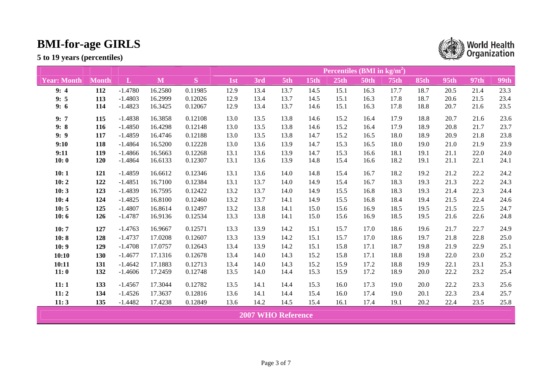|                    |              |              |         |         | <b>Percentiles (BMI in kg/m<sup>2</sup>)</b> |                           |      |      |      |             |             |             |      |             |             |  |
|--------------------|--------------|--------------|---------|---------|----------------------------------------------|---------------------------|------|------|------|-------------|-------------|-------------|------|-------------|-------------|--|
| <b>Year: Month</b> | <b>Month</b> | $\mathbf{L}$ | M       | S       | 1st                                          | 3rd                       | 5th  | 15th | 25th | <b>50th</b> | <b>75th</b> | <b>85th</b> | 95th | <b>97th</b> | <b>99th</b> |  |
| 9:4                | 112          | $-1.4780$    | 16.2580 | 0.11985 | 12.9                                         | 13.4                      | 13.7 | 14.5 | 15.1 | 16.3        | 17.7        | 18.7        | 20.5 | 21.4        | 23.3        |  |
| 9:5                | 113          | $-1.4803$    | 16.2999 | 0.12026 | 12.9                                         | 13.4                      | 13.7 | 14.5 | 15.1 | 16.3        | 17.8        | 18.7        | 20.6 | 21.5        | 23.4        |  |
| 9:6                | 114          | $-1.4823$    | 16.3425 | 0.12067 | 12.9                                         | 13.4                      | 13.7 | 14.6 | 15.1 | 16.3        | 17.8        | 18.8        | 20.7 | 21.6        | 23.5        |  |
| 9:7                | 115          | $-1.4838$    | 16.3858 | 0.12108 | 13.0                                         | 13.5                      | 13.8 | 14.6 | 15.2 | 16.4        | 17.9        | 18.8        | 20.7 | 21.6        | 23.6        |  |
| 9:8                | 116          | $-1.4850$    | 16.4298 | 0.12148 | 13.0                                         | 13.5                      | 13.8 | 14.6 | 15.2 | 16.4        | 17.9        | 18.9        | 20.8 | 21.7        | 23.7        |  |
| 9:9                | 117          | $-1.4859$    | 16.4746 | 0.12188 | 13.0                                         | 13.5                      | 13.8 | 14.7 | 15.2 | 16.5        | 18.0        | 18.9        | 20.9 | 21.8        | 23.8        |  |
| 9:10               | 118          | $-1.4864$    | 16.5200 | 0.12228 | 13.0                                         | 13.6                      | 13.9 | 14.7 | 15.3 | 16.5        | 18.0        | 19.0        | 21.0 | 21.9        | 23.9        |  |
| 9:11               | 119          | $-1.4866$    | 16.5663 | 0.12268 | 13.1                                         | 13.6                      | 13.9 | 14.7 | 15.3 | 16.6        | 18.1        | 19.1        | 21.1 | 22.0        | 24.0        |  |
| 10:0               | 120          | $-1.4864$    | 16.6133 | 0.12307 | 13.1                                         | 13.6                      | 13.9 | 14.8 | 15.4 | 16.6        | 18.2        | 19.1        | 21.1 | 22.1        | 24.1        |  |
| 10:1               | 121          | $-1.4859$    | 16.6612 | 0.12346 | 13.1                                         | 13.6                      | 14.0 | 14.8 | 15.4 | 16.7        | 18.2        | 19.2        | 21.2 | 22.2        | 24.2        |  |
| 10:2               | 122          | $-1.4851$    | 16.7100 | 0.12384 | 13.1                                         | 13.7                      | 14.0 | 14.9 | 15.4 | 16.7        | 18.3        | 19.3        | 21.3 | 22.2        | 24.3        |  |
| 10:3               | 123          | $-1.4839$    | 16.7595 | 0.12422 | 13.2                                         | 13.7                      | 14.0 | 14.9 | 15.5 | 16.8        | 18.3        | 19.3        | 21.4 | 22.3        | 24.4        |  |
| 10:4               | 124          | $-1.4825$    | 16.8100 | 0.12460 | 13.2                                         | 13.7                      | 14.1 | 14.9 | 15.5 | 16.8        | 18.4        | 19.4        | 21.5 | 22.4        | 24.6        |  |
| 10:5               | 125          | $-1.4807$    | 16.8614 | 0.12497 | 13.2                                         | 13.8                      | 14.1 | 15.0 | 15.6 | 16.9        | 18.5        | 19.5        | 21.5 | 22.5        | 24.7        |  |
| 10:6               | 126          | $-1.4787$    | 16.9136 | 0.12534 | 13.3                                         | 13.8                      | 14.1 | 15.0 | 15.6 | 16.9        | 18.5        | 19.5        | 21.6 | 22.6        | 24.8        |  |
| 10:7               | 127          | $-1.4763$    | 16.9667 | 0.12571 | 13.3                                         | 13.9                      | 14.2 | 15.1 | 15.7 | 17.0        | 18.6        | 19.6        | 21.7 | 22.7        | 24.9        |  |
| 10:8               | 128          | $-1.4737$    | 17.0208 | 0.12607 | 13.3                                         | 13.9                      | 14.2 | 15.1 | 15.7 | 17.0        | 18.6        | 19.7        | 21.8 | 22.8        | 25.0        |  |
| 10:9               | 129          | $-1.4708$    | 17.0757 | 0.12643 | 13.4                                         | 13.9                      | 14.2 | 15.1 | 15.8 | 17.1        | 18.7        | 19.8        | 21.9 | 22.9        | 25.1        |  |
| 10:10              | 130          | $-1.4677$    | 17.1316 | 0.12678 | 13.4                                         | 14.0                      | 14.3 | 15.2 | 15.8 | 17.1        | 18.8        | 19.8        | 22.0 | 23.0        | 25.2        |  |
| 10:11              | 131          | $-1.4642$    | 17.1883 | 0.12713 | 13.4                                         | 14.0                      | 14.3 | 15.2 | 15.9 | 17.2        | 18.8        | 19.9        | 22.1 | 23.1        | 25.3        |  |
| 11:0               | 132          | $-1.4606$    | 17.2459 | 0.12748 | 13.5                                         | 14.0                      | 14.4 | 15.3 | 15.9 | 17.2        | 18.9        | 20.0        | 22.2 | 23.2        | 25.4        |  |
| 11:1               | 133          | $-1.4567$    | 17.3044 | 0.12782 | 13.5                                         | 14.1                      | 14.4 | 15.3 | 16.0 | 17.3        | 19.0        | 20.0        | 22.2 | 23.3        | 25.6        |  |
| 11:2               | 134          | $-1.4526$    | 17.3637 | 0.12816 | 13.6                                         | 14.1                      | 14.4 | 15.4 | 16.0 | 17.4        | 19.0        | 20.1        | 22.3 | 23.4        | 25.7        |  |
| 11:3               | 135          | $-1.4482$    | 17.4238 | 0.12849 | 13.6                                         | 14.2                      | 14.5 | 15.4 | 16.1 | 17.4        | 19.1        | 20.2        | 22.4 | 23.5        | 25.8        |  |
|                    |              |              |         |         |                                              | <b>2007 WHO Reference</b> |      |      |      |             |             |             |      |             |             |  |

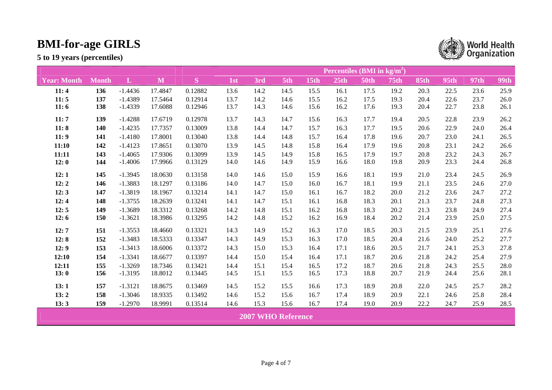|                    |              |              |         |         | Percentiles (BMI in $kg/m2$ ) |                           |      |             |      |             |             |             |      |             |             |  |
|--------------------|--------------|--------------|---------|---------|-------------------------------|---------------------------|------|-------------|------|-------------|-------------|-------------|------|-------------|-------------|--|
| <b>Year: Month</b> | <b>Month</b> | $\mathbf{L}$ | M       | S       | 1st                           | 3rd                       | 5th  | <b>15th</b> | 25th | <b>50th</b> | <b>75th</b> | <b>85th</b> | 95th | <b>97th</b> | <b>99th</b> |  |
| 11:4               | 136          | $-1.4436$    | 17.4847 | 0.12882 | 13.6                          | 14.2                      | 14.5 | 15.5        | 16.1 | 17.5        | 19.2        | 20.3        | 22.5 | 23.6        | 25.9        |  |
| 11:5               | 137          | $-1.4389$    | 17.5464 | 0.12914 | 13.7                          | 14.2                      | 14.6 | 15.5        | 16.2 | 17.5        | 19.3        | 20.4        | 22.6 | 23.7        | 26.0        |  |
| 11:6               | 138          | $-1.4339$    | 17.6088 | 0.12946 | 13.7                          | 14.3                      | 14.6 | 15.6        | 16.2 | 17.6        | 19.3        | 20.4        | 22.7 | 23.8        | 26.1        |  |
| 11:7               | 139          | $-1.4288$    | 17.6719 | 0.12978 | 13.7                          | 14.3                      | 14.7 | 15.6        | 16.3 | 17.7        | 19.4        | 20.5        | 22.8 | 23.9        | 26.2        |  |
| 11:8               | 140          | $-1.4235$    | 17.7357 | 0.13009 | 13.8                          | 14.4                      | 14.7 | 15.7        | 16.3 | 17.7        | 19.5        | 20.6        | 22.9 | 24.0        | 26.4        |  |
| 11:9               | 141          | $-1.4180$    | 17.8001 | 0.13040 | 13.8                          | 14.4                      | 14.8 | 15.7        | 16.4 | 17.8        | 19.6        | 20.7        | 23.0 | 24.1        | 26.5        |  |
| 11:10              | 142          | $-1.4123$    | 17.8651 | 0.13070 | 13.9                          | 14.5                      | 14.8 | 15.8        | 16.4 | 17.9        | 19.6        | 20.8        | 23.1 | 24.2        | 26.6        |  |
| 11:11              | 143          | $-1.4065$    | 17.9306 | 0.13099 | 13.9                          | 14.5                      | 14.9 | 15.8        | 16.5 | 17.9        | 19.7        | 20.8        | 23.2 | 24.3        | 26.7        |  |
| 12:0               | 144          | $-1.4006$    | 17.9966 | 0.13129 | 14.0                          | 14.6                      | 14.9 | 15.9        | 16.6 | 18.0        | 19.8        | 20.9        | 23.3 | 24.4        | 26.8        |  |
| 12:1               | 145          | $-1.3945$    | 18.0630 | 0.13158 | 14.0                          | 14.6                      | 15.0 | 15.9        | 16.6 | 18.1        | 19.9        | 21.0        | 23.4 | 24.5        | 26.9        |  |
| 12:2               | 146          | $-1.3883$    | 18.1297 | 0.13186 | 14.0                          | 14.7                      | 15.0 | 16.0        | 16.7 | 18.1        | 19.9        | 21.1        | 23.5 | 24.6        | 27.0        |  |
| 12:3               | 147          | $-1.3819$    | 18.1967 | 0.13214 | 14.1                          | 14.7                      | 15.0 | 16.1        | 16.7 | 18.2        | 20.0        | 21.2        | 23.6 | 24.7        | 27.2        |  |
| 12:4               | 148          | $-1.3755$    | 18.2639 | 0.13241 | 14.1                          | 14.7                      | 15.1 | 16.1        | 16.8 | 18.3        | 20.1        | 21.3        | 23.7 | 24.8        | 27.3        |  |
| 12:5               | 149          | $-1.3689$    | 18.3312 | 0.13268 | 14.2                          | 14.8                      | 15.1 | 16.2        | 16.8 | 18.3        | 20.2        | 21.3        | 23.8 | 24.9        | 27.4        |  |
| 12:6               | 150          | $-1.3621$    | 18.3986 | 0.13295 | 14.2                          | 14.8                      | 15.2 | 16.2        | 16.9 | 18.4        | 20.2        | 21.4        | 23.9 | 25.0        | 27.5        |  |
| 12:7               | 151          | $-1.3553$    | 18.4660 | 0.13321 | 14.3                          | 14.9                      | 15.2 | 16.3        | 17.0 | 18.5        | 20.3        | 21.5        | 23.9 | 25.1        | 27.6        |  |
| 12:8               | 152          | $-1.3483$    | 18.5333 | 0.13347 | 14.3                          | 14.9                      | 15.3 | 16.3        | 17.0 | 18.5        | 20.4        | 21.6        | 24.0 | 25.2        | 27.7        |  |
| 12:9               | 153          | $-1.3413$    | 18.6006 | 0.13372 | 14.3                          | 15.0                      | 15.3 | 16.4        | 17.1 | 18.6        | 20.5        | 21.7        | 24.1 | 25.3        | 27.8        |  |
| 12:10              | 154          | $-1.3341$    | 18.6677 | 0.13397 | 14.4                          | 15.0                      | 15.4 | 16.4        | 17.1 | 18.7        | 20.6        | 21.8        | 24.2 | 25.4        | 27.9        |  |
| 12:11              | 155          | $-1.3269$    | 18.7346 | 0.13421 | 14.4                          | 15.1                      | 15.4 | 16.5        | 17.2 | 18.7        | 20.6        | 21.8        | 24.3 | 25.5        | 28.0        |  |
| 13:0               | 156          | $-1.3195$    | 18.8012 | 0.13445 | 14.5                          | 15.1                      | 15.5 | 16.5        | 17.3 | 18.8        | 20.7        | 21.9        | 24.4 | 25.6        | 28.1        |  |
| 13:1               | 157          | $-1.3121$    | 18.8675 | 0.13469 | 14.5                          | 15.2                      | 15.5 | 16.6        | 17.3 | 18.9        | 20.8        | 22.0        | 24.5 | 25.7        | 28.2        |  |
| 13:2               | 158          | $-1.3046$    | 18.9335 | 0.13492 | 14.6                          | 15.2                      | 15.6 | 16.7        | 17.4 | 18.9        | 20.9        | 22.1        | 24.6 | 25.8        | 28.4        |  |
| 13:3               | 159          | $-1.2970$    | 18.9991 | 0.13514 | 14.6                          | 15.3                      | 15.6 | 16.7        | 17.4 | 19.0        | 20.9        | 22.2        | 24.7 | 25.9        | 28.5        |  |
|                    |              |              |         |         |                               | <b>2007 WHO Reference</b> |      |             |      |             |             |             |      |             |             |  |

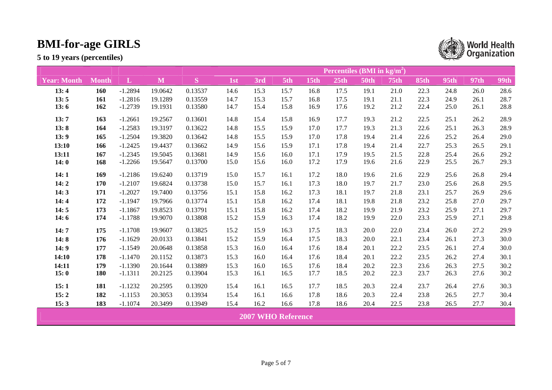|                    |              |              |         |         | Percentiles (BMI in $\text{kg/m}^2$ ) |                           |      |      |      |             |             |             |      |      |             |
|--------------------|--------------|--------------|---------|---------|---------------------------------------|---------------------------|------|------|------|-------------|-------------|-------------|------|------|-------------|
| <b>Year: Month</b> | <b>Month</b> | $\mathbf{L}$ | M       | S       | 1st                                   | 3rd                       | 5th  | 15th | 25th | <b>50th</b> | <b>75th</b> | <b>85th</b> | 95th | 97th | <b>99th</b> |
| 13:4               | 160          | $-1.2894$    | 19.0642 | 0.13537 | 14.6                                  | 15.3                      | 15.7 | 16.8 | 17.5 | 19.1        | 21.0        | 22.3        | 24.8 | 26.0 | 28.6        |
| 13:5               | 161          | $-1.2816$    | 19.1289 | 0.13559 | 14.7                                  | 15.3                      | 15.7 | 16.8 | 17.5 | 19.1        | 21.1        | 22.3        | 24.9 | 26.1 | 28.7        |
| 13:6               | 162          | $-1.2739$    | 19.1931 | 0.13580 | 14.7                                  | 15.4                      | 15.8 | 16.9 | 17.6 | 19.2        | 21.2        | 22.4        | 25.0 | 26.1 | 28.8        |
| 13:7               | 163          | $-1.2661$    | 19.2567 | 0.13601 | 14.8                                  | 15.4                      | 15.8 | 16.9 | 17.7 | 19.3        | 21.2        | 22.5        | 25.1 | 26.2 | 28.9        |
| 13:8               | 164          | $-1.2583$    | 19.3197 | 0.13622 | 14.8                                  | 15.5                      | 15.9 | 17.0 | 17.7 | 19.3        | 21.3        | 22.6        | 25.1 | 26.3 | 28.9        |
| 13:9               | 165          | $-1.2504$    | 19.3820 | 0.13642 | 14.8                                  | 15.5                      | 15.9 | 17.0 | 17.8 | 19.4        | 21.4        | 22.6        | 25.2 | 26.4 | 29.0        |
| 13:10              | 166          | $-1.2425$    | 19.4437 | 0.13662 | 14.9                                  | 15.6                      | 15.9 | 17.1 | 17.8 | 19.4        | 21.4        | 22.7        | 25.3 | 26.5 | 29.1        |
| 13:11              | 167          | $-1.2345$    | 19.5045 | 0.13681 | 14.9                                  | 15.6                      | 16.0 | 17.1 | 17.9 | 19.5        | 21.5        | 22.8        | 25.4 | 26.6 | 29.2        |
| 14:0               | 168          | $-1.2266$    | 19.5647 | 0.13700 | 15.0                                  | 15.6                      | 16.0 | 17.2 | 17.9 | 19.6        | 21.6        | 22.9        | 25.5 | 26.7 | 29.3        |
| 14:1               | 169          | $-1.2186$    | 19.6240 | 0.13719 | 15.0                                  | 15.7                      | 16.1 | 17.2 | 18.0 | 19.6        | 21.6        | 22.9        | 25.6 | 26.8 | 29.4        |
| 14:2               | 170          | $-1.2107$    | 19.6824 | 0.13738 | 15.0                                  | 15.7                      | 16.1 | 17.3 | 18.0 | 19.7        | 21.7        | 23.0        | 25.6 | 26.8 | 29.5        |
| 14:3               | 171          | $-1.2027$    | 19.7400 | 0.13756 | 15.1                                  | 15.8                      | 16.2 | 17.3 | 18.1 | 19.7        | 21.8        | 23.1        | 25.7 | 26.9 | 29.6        |
| 14:4               | 172          | $-1.1947$    | 19.7966 | 0.13774 | 15.1                                  | 15.8                      | 16.2 | 17.4 | 18.1 | 19.8        | 21.8        | 23.2        | 25.8 | 27.0 | 29.7        |
| 14:5               | 173          | $-1.1867$    | 19.8523 | 0.13791 | 15.1                                  | 15.8                      | 16.2 | 17.4 | 18.2 | 19.9        | 21.9        | 23.2        | 25.9 | 27.1 | 29.7        |
| 14:6               | 174          | $-1.1788$    | 19.9070 | 0.13808 | 15.2                                  | 15.9                      | 16.3 | 17.4 | 18.2 | 19.9        | 22.0        | 23.3        | 25.9 | 27.1 | 29.8        |
| 14:7               | 175          | $-1.1708$    | 19.9607 | 0.13825 | 15.2                                  | 15.9                      | 16.3 | 17.5 | 18.3 | 20.0        | 22.0        | 23.4        | 26.0 | 27.2 | 29.9        |
| 14:8               | 176          | $-1.1629$    | 20.0133 | 0.13841 | 15.2                                  | 15.9                      | 16.4 | 17.5 | 18.3 | 20.0        | 22.1        | 23.4        | 26.1 | 27.3 | 30.0        |
| 14:9               | 177          | $-1.1549$    | 20.0648 | 0.13858 | 15.3                                  | 16.0                      | 16.4 | 17.6 | 18.4 | 20.1        | 22.2        | 23.5        | 26.1 | 27.4 | 30.0        |
| 14:10              | 178          | $-1.1470$    | 20.1152 | 0.13873 | 15.3                                  | 16.0                      | 16.4 | 17.6 | 18.4 | 20.1        | 22.2        | 23.5        | 26.2 | 27.4 | 30.1        |
| 14:11              | 179          | $-1.1390$    | 20.1644 | 0.13889 | 15.3                                  | 16.0                      | 16.5 | 17.6 | 18.4 | 20.2        | 22.3        | 23.6        | 26.3 | 27.5 | 30.2        |
| 15:0               | <b>180</b>   | $-1.1311$    | 20.2125 | 0.13904 | 15.3                                  | 16.1                      | 16.5 | 17.7 | 18.5 | 20.2        | 22.3        | 23.7        | 26.3 | 27.6 | 30.2        |
| 15:1               | 181          | $-1.1232$    | 20.2595 | 0.13920 | 15.4                                  | 16.1                      | 16.5 | 17.7 | 18.5 | 20.3        | 22.4        | 23.7        | 26.4 | 27.6 | 30.3        |
| 15:2               | 182          | $-1.1153$    | 20.3053 | 0.13934 | 15.4                                  | 16.1                      | 16.6 | 17.8 | 18.6 | 20.3        | 22.4        | 23.8        | 26.5 | 27.7 | 30.4        |
| 15:3               | 183          | $-1.1074$    | 20.3499 | 0.13949 | 15.4                                  | 16.2                      | 16.6 | 17.8 | 18.6 | 20.4        | 22.5        | 23.8        | 26.5 | 27.7 | 30.4        |
|                    |              |              |         |         |                                       | <b>2007 WHO Reference</b> |      |      |      |             |             |             |      |      |             |

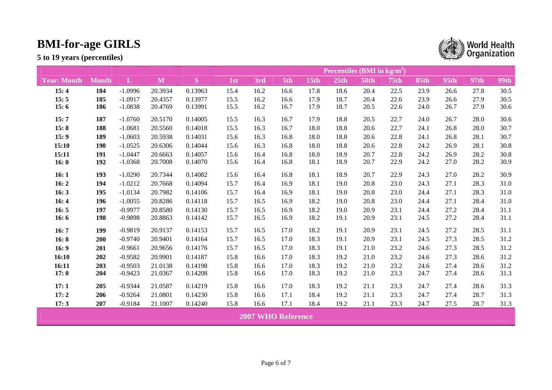|                    |              |              |         |         | Percentiles (BMI in $\text{kg/m}^2$ ) |      |                           |      |      |             |             |             |      |      |             |
|--------------------|--------------|--------------|---------|---------|---------------------------------------|------|---------------------------|------|------|-------------|-------------|-------------|------|------|-------------|
| <b>Year: Month</b> | <b>Month</b> | $\mathbf{L}$ | M       | S       | 1st                                   | 3rd  | 5th                       | 15th | 25th | <b>50th</b> | <b>75th</b> | <b>85th</b> | 95th | 97th | <b>99th</b> |
| 15:4               | 184          | $-1.0996$    | 20.3934 | 0.13963 | 15.4                                  | 16.2 | 16.6                      | 17.8 | 18.6 | 20.4        | 22.5        | 23.9        | 26.6 | 27.8 | 30.5        |
| 15:5               | 185          | $-1.0917$    | 20.4357 | 0.13977 | 15.5                                  | 16.2 | 16.6                      | 17.9 | 18.7 | 20.4        | 22.6        | 23.9        | 26.6 | 27.9 | 30.5        |
| 15:6               | 186          | $-1.0838$    | 20.4769 | 0.13991 | 15.5                                  | 16.2 | 16.7                      | 17.9 | 18.7 | 20.5        | 22.6        | 24.0        | 26.7 | 27.9 | 30.6        |
| 15:7               | 187          | $-1.0760$    | 20.5170 | 0.14005 | 15.5                                  | 16.3 | 16.7                      | 17.9 | 18.8 | 20.5        | 22.7        | 24.0        | 26.7 | 28.0 | 30.6        |
| 15:8               | 188          | $-1.0681$    | 20.5560 | 0.14018 | 15.5                                  | 16.3 | 16.7                      | 18.0 | 18.8 | 20.6        | 22.7        | 24.1        | 26.8 | 28.0 | 30.7        |
| 15:9               | 189          | $-1.0603$    | 20.5938 | 0.14031 | 15.6                                  | 16.3 | 16.8                      | 18.0 | 18.8 | 20.6        | 22.8        | 24.1        | 26.8 | 28.1 | 30.7        |
| 15:10              | 190          | $-1.0525$    | 20.6306 | 0.14044 | 15.6                                  | 16.3 | 16.8                      | 18.0 | 18.8 | 20.6        | 22.8        | 24.2        | 26.9 | 28.1 | 30.8        |
| 15:11              | 191          | $-1.0447$    | 20.6663 | 0.14057 | 15.6                                  | 16.4 | 16.8                      | 18.0 | 18.9 | 20.7        | 22.8        | 24.2        | 26.9 | 28.2 | 30.8        |
| 16:0               | 192          | $-1.0368$    | 20.7008 | 0.14070 | 15.6                                  | 16.4 | 16.8                      | 18.1 | 18.9 | 20.7        | 22.9        | 24.2        | 27.0 | 28.2 | 30.9        |
| 16:1               | 193          | $-1.0290$    | 20.7344 | 0.14082 | 15.6                                  | 16.4 | 16.8                      | 18.1 | 18.9 | 20.7        | 22.9        | 24.3        | 27.0 | 28.2 | 30.9        |
| 16:2               | 194          | $-1.0212$    | 20.7668 | 0.14094 | 15.7                                  | 16.4 | 16.9                      | 18.1 | 19.0 | 20.8        | 23.0        | 24.3        | 27.1 | 28.3 | 31.0        |
| 16:3               | 195          | $-1.0134$    | 20.7982 | 0.14106 | 15.7                                  | 16.4 | 16.9                      | 18.1 | 19.0 | 20.8        | 23.0        | 24.4        | 27.1 | 28.3 | 31.0        |
| 16:4               | 196          | $-1.0055$    | 20.8286 | 0.14118 | 15.7                                  | 16.5 | 16.9                      | 18.2 | 19.0 | 20.8        | 23.0        | 24.4        | 27.1 | 28.4 | 31.0        |
| 16:5               | 197          | $-0.9977$    | 20.8580 | 0.14130 | 15.7                                  | 16.5 | 16.9                      | 18.2 | 19.0 | 20.9        | 23.1        | 24.4        | 27.2 | 28.4 | 31.1        |
| 16:6               | 198          | $-0.9898$    | 20.8863 | 0.14142 | 15.7                                  | 16.5 | 16.9                      | 18.2 | 19.1 | 20.9        | 23.1        | 24.5        | 27.2 | 28.4 | 31.1        |
| 16:7               | 199          | $-0.9819$    | 20.9137 | 0.14153 | 15.7                                  | 16.5 | 17.0                      | 18.2 | 19.1 | 20.9        | 23.1        | 24.5        | 27.2 | 28.5 | 31.1        |
| 16:8               | 200          | $-0.9740$    | 20.9401 | 0.14164 | 15.7                                  | 16.5 | 17.0                      | 18.3 | 19.1 | 20.9        | 23.1        | 24.5        | 27.3 | 28.5 | 31.2        |
| 16:9               | 201          | $-0.9661$    | 20.9656 | 0.14176 | 15.7                                  | 16.5 | 17.0                      | 18.3 | 19.1 | 21.0        | 23.2        | 24.6        | 27.3 | 28.5 | 31.2        |
| 16:10              | 202          | $-0.9582$    | 20.9901 | 0.14187 | 15.8                                  | 16.6 | 17.0                      | 18.3 | 19.2 | 21.0        | 23.2        | 24.6        | 27.3 | 28.6 | 31.2        |
| 16:11              | 203          | $-0.9503$    | 21.0138 | 0.14198 | 15.8                                  | 16.6 | 17.0                      | 18.3 | 19.2 | 21.0        | 23.2        | 24.6        | 27.4 | 28.6 | 31.2        |
| 17:0               | 204          | $-0.9423$    | 21.0367 | 0.14208 | 15.8                                  | 16.6 | 17.0                      | 18.3 | 19.2 | 21.0        | 23.3        | 24.7        | 27.4 | 28.6 | 31.3        |
| 17:1               | 205          | $-0.9344$    | 21.0587 | 0.14219 | 15.8                                  | 16.6 | 17.0                      | 18.3 | 19.2 | 21.1        | 23.3        | 24.7        | 27.4 | 28.6 | 31.3        |
| 17:2               | 206          | $-0.9264$    | 21.0801 | 0.14230 | 15.8                                  | 16.6 | 17.1                      | 18.4 | 19.2 | 21.1        | 23.3        | 24.7        | 27.4 | 28.7 | 31.3        |
| 17:3               | 207          | $-0.9184$    | 21.1007 | 0.14240 | 15.8                                  | 16.6 | 17.1                      | 18.4 | 19.2 | 21.1        | 23.3        | 24.7        | 27.5 | 28.7 | 31.3        |
|                    |              |              |         |         |                                       |      | <b>2007 WHO Reference</b> |      |      |             |             |             |      |      |             |